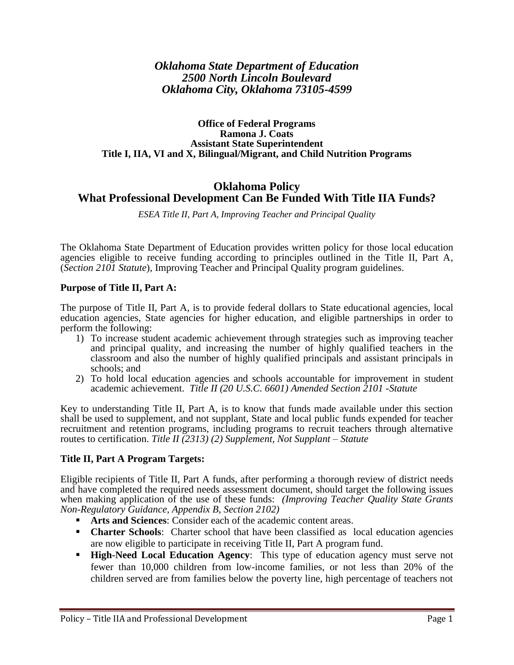## *Oklahoma State Department of Education 2500 North Lincoln Boulevard Oklahoma City, Oklahoma 73105-4599*

#### **Office of Federal Programs Ramona J. Coats Assistant State Superintendent Title I, IIA, VI and X, Bilingual/Migrant, and Child Nutrition Programs**

# **Oklahoma Policy What Professional Development Can Be Funded With Title IIA Funds?**

*ESEA Title II, Part A, Improving Teacher and Principal Quality*

The Oklahoma State Department of Education provides written policy for those local education agencies eligible to receive funding according to principles outlined in the Title II, Part A, (*Section 2101 Statute*), Improving Teacher and Principal Quality program guidelines.

### **Purpose of Title II, Part A:**

The purpose of Title II, Part A, is to provide federal dollars to State educational agencies, local education agencies, State agencies for higher education, and eligible partnerships in order to perform the following:

- 1) To increase student academic achievement through strategies such as improving teacher and principal quality, and increasing the number of highly qualified teachers in the classroom and also the number of highly qualified principals and assistant principals in schools; and
- 2) To hold local education agencies and schools accountable for improvement in student academic achievement. *Title II (20 U.S.C. 6601) Amended Section 2101 -Statute*

Key to understanding Title II, Part A, is to know that funds made available under this section shall be used to supplement, and not supplant, State and local public funds expended for teacher recruitment and retention programs, including programs to recruit teachers through alternative routes to certification. *Title II (2313) (2) Supplement, Not Supplant – Statute*

## **Title II, Part A Program Targets:**

Eligible recipients of Title II, Part A funds, after performing a thorough review of district needs and have completed the required needs assessment document, should target the following issues when making application of the use of these funds: *(Improving Teacher Quality State Grants Non-Regulatory Guidance, Appendix B, Section 2102)*

- **Arts and Sciences**: Consider each of the academic content areas.
- **Charter Schools**: Charter school that have been classified as local education agencies are now eligible to participate in receiving Title II, Part A program fund.
- **High-Need Local Education Agency:** This type of education agency must serve not fewer than 10,000 children from low-income families, or not less than 20% of the children served are from families below the poverty line, high percentage of teachers not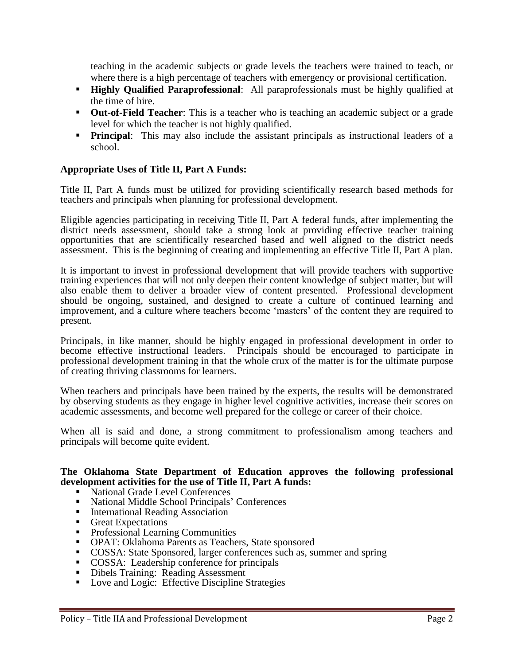teaching in the academic subjects or grade levels the teachers were trained to teach, or where there is a high percentage of teachers with emergency or provisional certification.

- **Highly Qualified Paraprofessional**: All paraprofessionals must be highly qualified at the time of hire.
- **Out-of-Field Teacher:** This is a teacher who is teaching an academic subject or a grade level for which the teacher is not highly qualified.
- **Principal:** This may also include the assistant principals as instructional leaders of a school.

### **Appropriate Uses of Title II, Part A Funds:**

Title II, Part A funds must be utilized for providing scientifically research based methods for teachers and principals when planning for professional development.

Eligible agencies participating in receiving Title II, Part A federal funds, after implementing the district needs assessment, should take a strong look at providing effective teacher training opportunities that are scientifically researched based and well aligned to the district needs assessment. This is the beginning of creating and implementing an effective Title II, Part A plan.

It is important to invest in professional development that will provide teachers with supportive training experiences that will not only deepen their content knowledge of subject matter, but will also enable them to deliver a broader view of content presented. Professional development should be ongoing, sustained, and designed to create a culture of continued learning and improvement, and a culture where teachers become 'masters' of the content they are required to present.

Principals, in like manner, should be highly engaged in professional development in order to become effective instructional leaders. Principals should be encouraged to participate in professional development training in that the whole crux of the matter is for the ultimate purpose of creating thriving classrooms for learners.

When teachers and principals have been trained by the experts, the results will be demonstrated by observing students as they engage in higher level cognitive activities, increase their scores on academic assessments, and become well prepared for the college or career of their choice.

When all is said and done, a strong commitment to professionalism among teachers and principals will become quite evident.

#### **The Oklahoma State Department of Education approves the following professional development activities for the use of Title II, Part A funds:**

- National Grade Level Conferences
- National Middle School Principals' Conferences
- **International Reading Association**
- Great Expectations
- **Professional Learning Communities**
- OPAT: Oklahoma Parents as Teachers, State sponsored
- COSSA: State Sponsored, larger conferences such as, summer and spring
- **COSSA:** Leadership conference for principals
- Dibels Training: Reading Assessment
- Love and Logic: Effective Discipline Strategies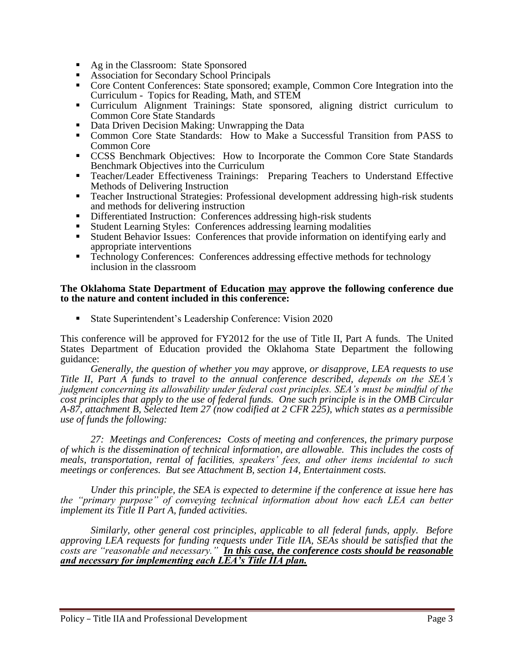- Ag in the Classroom: State Sponsored
- **Association for Secondary School Principals**
- Core Content Conferences: State sponsored; example, Common Core Integration into the Curriculum - Topics for Reading, Math, and STEM
- Curriculum Alignment Trainings: State sponsored, aligning district curriculum to Common Core State Standards
- Data Driven Decision Making: Unwrapping the Data
- Common Core State Standards: How to Make a Successful Transition from PASS to Common Core
- CCSS Benchmark Objectives: How to Incorporate the Common Core State Standards Benchmark Objectives into the Curriculum
- Teacher/Leader Effectiveness Trainings: Preparing Teachers to Understand Effective Methods of Delivering Instruction
- Teacher Instructional Strategies: Professional development addressing high-risk students and methods for delivering instruction
- Differentiated Instruction: Conferences addressing high-risk students
- Student Learning Styles: Conferences addressing learning modalities
- Student Behavior Issues: Conferences that provide information on identifying early and appropriate interventions
- Technology Conferences: Conferences addressing effective methods for technology inclusion in the classroom

### **The Oklahoma State Department of Education may approve the following conference due to the nature and content included in this conference:**

State Superintendent's Leadership Conference: Vision 2020

This conference will be approved for FY2012 for the use of Title II, Part A funds. The United States Department of Education provided the Oklahoma State Department the following guidance:

*Generally, the question of whether you may* approve*, or disapprove, LEA requests to use Title II, Part A funds to travel to the annual conference described, depends on the SEA's judgment concerning its allowability under federal cost principles. SEA's must be mindful of the cost principles that apply to the use of federal funds. One such principle is in the OMB Circular A-87, attachment B, Selected Item 27 (now codified at 2 CFR 225), which states as a permissible use of funds the following:* 

*27: Meetings and Conferences: Costs of meeting and conferences, the primary purpose of which is the dissemination of technical information, are allowable. This includes the costs of meals, transportation, rental of facilities, speakers' fees, and other items incidental to such meetings or conferences. But see Attachment B, section 14, Entertainment costs.*

*Under this principle, the SEA is expected to determine if the conference at issue here has the "primary purpose" of conveying technical information about how each LEA can better implement its Title II Part A, funded activities.*

*Similarly, other general cost principles, applicable to all federal funds, apply. Before approving LEA requests for funding requests under Title IIA, SEAs should be satisfied that the costs are "reasonable and necessary." In this case, the conference costs should be reasonable and necessary for implementing each LEA's Title IIA plan.*